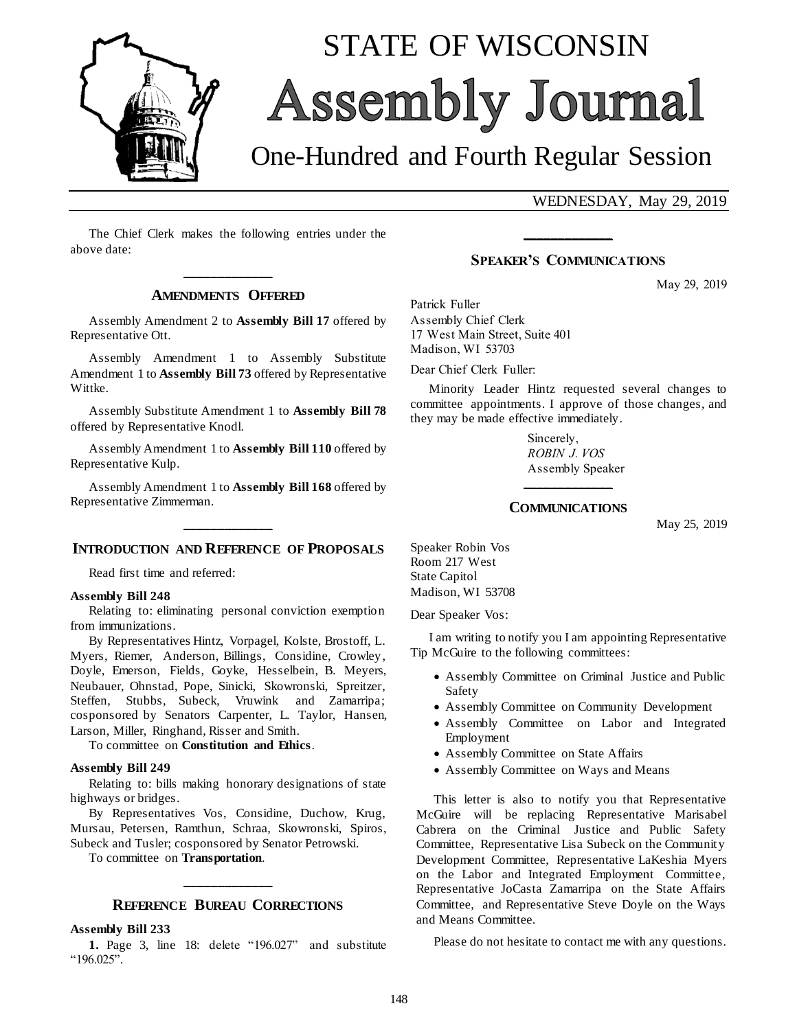

# STATE OF WISCONSIN Assembly Journal

## One-Hundred and Fourth Regular Session

WEDNESDAY, May 29, 2019

The Chief Clerk makes the following entries under the above date:

### **\_\_\_\_\_\_\_\_\_\_\_\_\_ AMENDMENTS OFFERED**

Assembly Amendment 2 to **Assembly Bill 17** offered by Representative Ott.

Assembly Amendment 1 to Assembly Substitute Amendment 1 to **Assembly Bill 73** offered by Representative Wittke.

Assembly Substitute Amendment 1 to **Assembly Bill 78** offered by Representative Knodl.

Assembly Amendment 1 to **Assembly Bill 110** offered by Representative Kulp.

Assembly Amendment 1 to **Assembly Bill 168** offered by Representative Zimmerman.

## **\_\_\_\_\_\_\_\_\_\_\_\_\_ INTRODUCTION AND REFERENCE OF PROPOSALS**

Read first time and referred:

#### **Assembly Bill 248**

Relating to: eliminating personal conviction exemption from immunizations.

By Representatives Hintz, Vorpagel, Kolste, Brostoff, L. Myers, Riemer, Anderson, Billings, Considine, Crowley, Doyle, Emerson, Fields, Goyke, Hesselbein, B. Meyers, Neubauer, Ohnstad, Pope, Sinicki, Skowronski, Spreitzer, Steffen, Stubbs, Subeck, Vruwink and Zamarripa; cosponsored by Senators Carpenter, L. Taylor, Hansen, Larson, Miller, Ringhand, Risser and Smith.

To committee on **Constitution and Ethics**.

#### **Assembly Bill 249**

Relating to: bills making honorary designations of state highways or bridges.

By Representatives Vos, Considine, Duchow, Krug, Mursau, Petersen, Ramthun, Schraa, Skowronski, Spiros, Subeck and Tusler; cosponsored by Senator Petrowski.

To committee on **Transportation**.

## **\_\_\_\_\_\_\_\_\_\_\_\_\_ REFERENCE BUREAU CORRECTIONS**

#### **Assembly Bill 233**

**1.** Page 3, line 18: delete "196.027" and substitute "196.025".

#### **SPEAKER'S COMMUNICATIONS**

**\_\_\_\_\_\_\_\_\_\_\_\_\_**

May 29, 2019

Patrick Fuller Assembly Chief Clerk 17 West Main Street, Suite 401 Madison, WI 53703

Dear Chief Clerk Fuller:

Minority Leader Hintz requested several changes to committee appointments. I approve of those changes, and they may be made effective immediately.

> Sincerely, *ROBIN J. VOS* Assembly Speaker

## **\_\_\_\_\_\_\_\_\_\_\_\_\_ COMMUNICATIONS**

May 25, 2019

Speaker Robin Vos Room 217 West State Capitol Madison, WI 53708

Dear Speaker Vos:

I am writing to notify you I am appointing Representative Tip McGuire to the following committees:

- Assembly Committee on Criminal Justice and Public Safety
- Assembly Committee on Community Development
- Assembly Committee on Labor and Integrated Employment
- Assembly Committee on State Affairs
- Assembly Committee on Ways and Means

This letter is also to notify you that Representative McGuire will be replacing Representative Marisabel Cabrera on the Criminal Justice and Public Safety Committee, Representative Lisa Subeck on the Community Development Committee, Representative LaKeshia Myers on the Labor and Integrated Employment Committee, Representative JoCasta Zamarripa on the State Affairs Committee, and Representative Steve Doyle on the Ways and Means Committee.

Please do not hesitate to contact me with any questions.